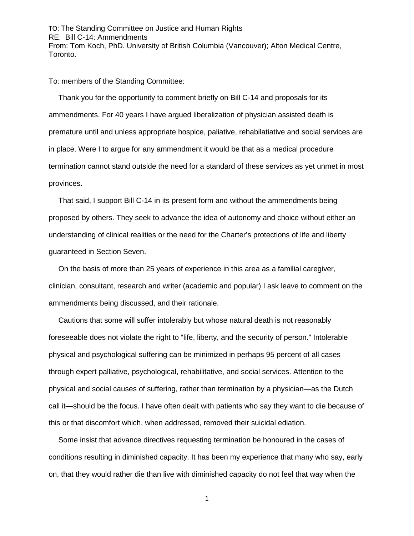TO: The Standing Committee on Justice and Human Rights RE: Bill C-14: Ammendments From: Tom Koch, PhD. University of British Columbia (Vancouver); Alton Medical Centre, Toronto.

To: members of the Standing Committee:

Thank you for the opportunity to comment briefly on Bill C-14 and proposals for its ammendments. For 40 years I have argued liberalization of physician assisted death is premature until and unless appropriate hospice, paliative, rehabilatiative and social services are in place. Were I to argue for any ammendment it would be that as a medical procedure termination cannot stand outside the need for a standard of these services as yet unmet in most provinces.

That said, I support Bill C-14 in its present form and without the ammendments being proposed by others. They seek to advance the idea of autonomy and choice without either an understanding of clinical realities or the need for the Charter's protections of life and liberty guaranteed in Section Seven.

On the basis of more than 25 years of experience in this area as a familial caregiver, clinician, consultant, research and writer (academic and popular) I ask leave to comment on the ammendments being discussed, and their rationale.

Cautions that some will suffer intolerably but whose natural death is not reasonably foreseeable does not violate the right to "life, liberty, and the security of person." Intolerable physical and psychological suffering can be minimized in perhaps 95 percent of all cases through expert palliative, psychological, rehabilitative, and social services. Attention to the physical and social causes of suffering, rather than termination by a physician—as the Dutch call it—should be the focus. I have often dealt with patients who say they want to die because of this or that discomfort which, when addressed, removed their suicidal ediation.

Some insist that advance directives requesting termination be honoured in the cases of conditions resulting in diminished capacity. It has been my experience that many who say, early on, that they would rather die than live with diminished capacity do not feel that way when the

1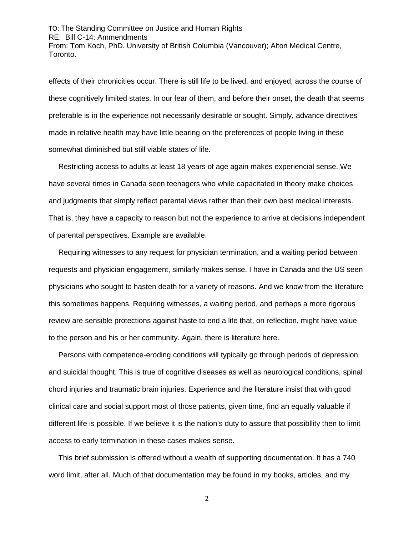TO: The Standing Committee on Justice and Human Rights RE: Bill C-14: Ammendments From: Tom Koch, PhD. University of British Columbia (Vancouver); Alton Medical Centre, Toronto.

effects of their chronicities occur. There is still life to be lived, and enjoyed, across the course of these cognitively limited states. In our fear of them, and before their onset, the death that seems preferable is in the experience not necessarily desirable or sought. Simply, advance directives made in relative health may have little bearing on the preferences of people living in these somewhat diminished but still viable states of life.

Restricting access to adults at least 18 years of age again makes experiencial sense. We have several times in Canada seen teenagers who while capacitated in theory make choices and judgments that simply reflect parental views rather than their own best medical interests. That is, they have a capacity to reason but not the experience to arrive at decisions independent of parental perspectives. Example are available.

Requiring witnesses to any request for physician termination, and a waiting period between requests and physician engagement, similarly makes sense. I have in Canada and the US seen physicians who sought to hasten death for a variety of reasons. And we know from the literature this sometimes happens. Requiring witnesses, a waiting period, and perhaps a more rigorous review are sensible protections against haste to end a life that, on reflection, might have value to the person and his or her community. Again, there is literature here.

Persons with competence-eroding conditions will typically go through periods of depression and suicidal thought. This is true of cognitive diseases as well as neurological conditions, spinal chord injuries and traumatic brain injuries. Experience and the literature insist that with good clinical care and social support most of those patients, given time, find an equally valuable if different life is possible. If we believe it is the nation's duty to assure that possibllity then to limit access to early termination in these cases makes sense.

This brief submission is offered without a wealth of supporting documentation. It has a 740 word limit, after all. Much of that documentation may be found in my books, articles, and my

2